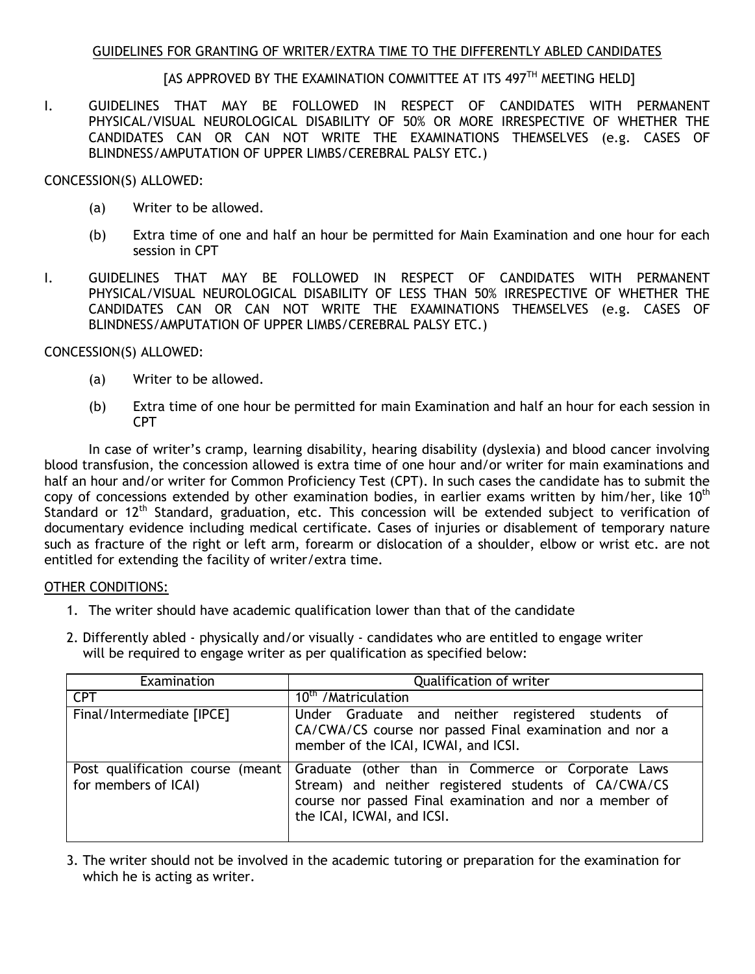# GUIDELINES FOR GRANTING OF WRITER/EXTRA TIME TO THE DIFFERENTLY ABLED CANDIDATES

# [AS APPROVED BY THE EXAMINATION COMMITTEE AT ITS 497<sup>TH</sup> MEETING HELD]

I. GUIDELINES THAT MAY BE FOLLOWED IN RESPECT OF CANDIDATES WITH PERMANENT PHYSICAL/VISUAL NEUROLOGICAL DISABILITY OF 50% OR MORE IRRESPECTIVE OF WHETHER THE CANDIDATES CAN OR CAN NOT WRITE THE EXAMINATIONS THEMSELVES (e.g. CASES OF BLINDNESS/AMPUTATION OF UPPER LIMBS/CEREBRAL PALSY ETC.)

### CONCESSION(S) ALLOWED:

- (a) Writer to be allowed.
- (b) Extra time of one and half an hour be permitted for Main Examination and one hour for each session in CPT
- I. GUIDELINES THAT MAY BE FOLLOWED IN RESPECT OF CANDIDATES WITH PERMANENT PHYSICAL/VISUAL NEUROLOGICAL DISABILITY OF LESS THAN 50% IRRESPECTIVE OF WHETHER THE CANDIDATES CAN OR CAN NOT WRITE THE EXAMINATIONS THEMSELVES (e.g. CASES OF BLINDNESS/AMPUTATION OF UPPER LIMBS/CEREBRAL PALSY ETC.)

### CONCESSION(S) ALLOWED:

- (a) Writer to be allowed.
- (b) Extra time of one hour be permitted for main Examination and half an hour for each session in CPT

In case of writer's cramp, learning disability, hearing disability (dyslexia) and blood cancer involving blood transfusion, the concession allowed is extra time of one hour and/or writer for main examinations and half an hour and/or writer for Common Proficiency Test (CPT). In such cases the candidate has to submit the copy of concessions extended by other examination bodies, in earlier exams written by him/her, like  $10<sup>th</sup>$ Standard or 12<sup>th</sup> Standard, graduation, etc. This concession will be extended subject to verification of documentary evidence including medical certificate. Cases of injuries or disablement of temporary nature such as fracture of the right or left arm, forearm or dislocation of a shoulder, elbow or wrist etc. are not entitled for extending the facility of writer/extra time.

#### OTHER CONDITIONS:

- 1. The writer should have academic qualification lower than that of the candidate
- 2. Differently abled physically and/or visually candidates who are entitled to engage writer will be required to engage writer as per qualification as specified below:

| Examination                                               | Qualification of writer                                                                                                                                                                             |
|-----------------------------------------------------------|-----------------------------------------------------------------------------------------------------------------------------------------------------------------------------------------------------|
| <b>CPT</b>                                                | 10 <sup>th</sup> / Matriculation                                                                                                                                                                    |
| Final/Intermediate [IPCE]                                 | Under Graduate and neither registered students of<br>CA/CWA/CS course nor passed Final examination and nor a<br>member of the ICAI, ICWAI, and ICSI.                                                |
| Post qualification course (meant)<br>for members of ICAI) | Graduate (other than in Commerce or Corporate Laws<br>Stream) and neither registered students of CA/CWA/CS<br>course nor passed Final examination and nor a member of<br>the ICAI, ICWAI, and ICSI. |

3. The writer should not be involved in the academic tutoring or preparation for the examination for which he is acting as writer.